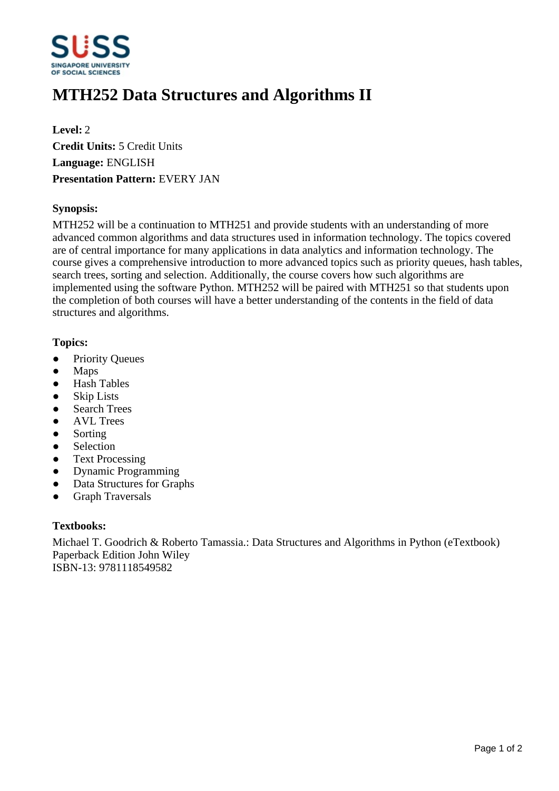

# **MTH252 Data Structures and Algorithms II**

**Level:** 2 **Credit Units:** 5 Credit Units **Language:** ENGLISH **Presentation Pattern:** EVERY JAN

# **Synopsis:**

MTH252 will be a continuation to MTH251 and provide students with an understanding of more advanced common algorithms and data structures used in information technology. The topics covered are of central importance for many applications in data analytics and information technology. The course gives a comprehensive introduction to more advanced topics such as priority queues, hash tables, search trees, sorting and selection. Additionally, the course covers how such algorithms are implemented using the software Python. MTH252 will be paired with MTH251 so that students upon the completion of both courses will have a better understanding of the contents in the field of data structures and algorithms.

## **Topics:**

- Priority Oueues
- Maps
- Hash Tables
- Skip Lists
- Search Trees
- AVL Trees
- Sorting
- Selection
- Text Processing
- Dynamic Programming
- Data Structures for Graphs
- Graph Traversals

#### **Textbooks:**

Michael T. Goodrich & Roberto Tamassia.: Data Structures and Algorithms in Python (eTextbook) Paperback Edition John Wiley ISBN-13: 9781118549582